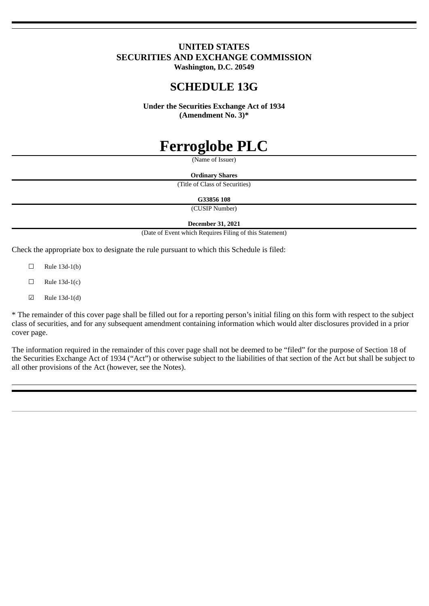# **UNITED STATES SECURITIES AND EXCHANGE COMMISSION**

**Washington, D.C. 20549**

# **SCHEDULE 13G**

**Under the Securities Exchange Act of 1934 (Amendment No. 3)\***

# **Ferroglobe PLC**

(Name of Issuer)

**Ordinary Shares** (Title of Class of Securities)

**G33856 108**

(CUSIP Number)

**December 31, 2021**

(Date of Event which Requires Filing of this Statement)

Check the appropriate box to designate the rule pursuant to which this Schedule is filed:

- $\Box$  Rule 13d-1(b)
- $\Box$  Rule 13d-1(c)
- ☑ Rule 13d-1(d)

\* The remainder of this cover page shall be filled out for a reporting person's initial filing on this form with respect to the subject class of securities, and for any subsequent amendment containing information which would alter disclosures provided in a prior cover page.

The information required in the remainder of this cover page shall not be deemed to be "filed" for the purpose of Section 18 of the Securities Exchange Act of 1934 ("Act") or otherwise subject to the liabilities of that section of the Act but shall be subject to all other provisions of the Act (however, see the Notes).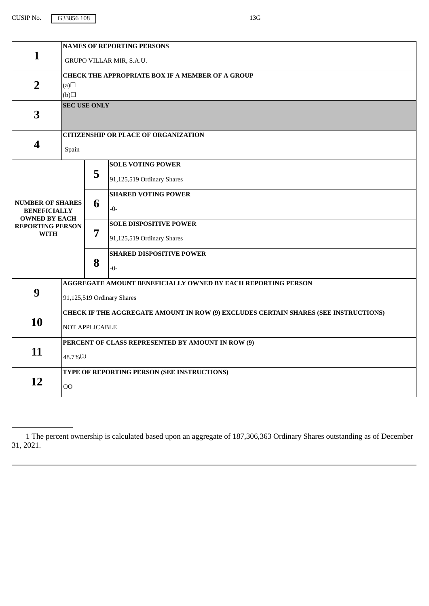CUSIP No. 633856 108 13G

|                                                                        | <b>NAMES OF REPORTING PERSONS</b>                                                   |                                                              |                                 |  |
|------------------------------------------------------------------------|-------------------------------------------------------------------------------------|--------------------------------------------------------------|---------------------------------|--|
| $\mathbf{1}$                                                           | GRUPO VILLAR MIR, S.A.U.                                                            |                                                              |                                 |  |
|                                                                        | CHECK THE APPROPRIATE BOX IF A MEMBER OF A GROUP                                    |                                                              |                                 |  |
| $\overline{2}$                                                         | (a)                                                                                 |                                                              |                                 |  |
|                                                                        | (b)                                                                                 |                                                              |                                 |  |
| 3                                                                      | <b>SEC USE ONLY</b>                                                                 |                                                              |                                 |  |
|                                                                        |                                                                                     | <b>CITIZENSHIP OR PLACE OF ORGANIZATION</b>                  |                                 |  |
| 4                                                                      | Spain                                                                               |                                                              |                                 |  |
|                                                                        |                                                                                     | 5                                                            | <b>SOLE VOTING POWER</b>        |  |
|                                                                        |                                                                                     |                                                              | 91,125,519 Ordinary Shares      |  |
|                                                                        |                                                                                     |                                                              | <b>SHARED VOTING POWER</b>      |  |
| <b>NUMBER OF SHARES</b><br><b>BENEFICIALLY</b><br><b>OWNED BY EACH</b> |                                                                                     | 6                                                            | $-0-$                           |  |
| <b>REPORTING PERSON</b>                                                |                                                                                     | 7                                                            | <b>SOLE DISPOSITIVE POWER</b>   |  |
| <b>WITH</b>                                                            |                                                                                     |                                                              | 91,125,519 Ordinary Shares      |  |
|                                                                        |                                                                                     |                                                              | <b>SHARED DISPOSITIVE POWER</b> |  |
|                                                                        |                                                                                     | 8                                                            | $-0-$                           |  |
| 9                                                                      |                                                                                     | AGGREGATE AMOUNT BENEFICIALLY OWNED BY EACH REPORTING PERSON |                                 |  |
|                                                                        | 91,125,519 Ordinary Shares                                                          |                                                              |                                 |  |
|                                                                        | CHECK IF THE AGGREGATE AMOUNT IN ROW (9) EXCLUDES CERTAIN SHARES (SEE INSTRUCTIONS) |                                                              |                                 |  |
| 10                                                                     | <b>NOT APPLICABLE</b>                                                               |                                                              |                                 |  |
|                                                                        | PERCENT OF CLASS REPRESENTED BY AMOUNT IN ROW (9)                                   |                                                              |                                 |  |
| 11                                                                     | 48.7%(1)                                                                            |                                                              |                                 |  |
|                                                                        | TYPE OF REPORTING PERSON (SEE INSTRUCTIONS)                                         |                                                              |                                 |  |
| 12                                                                     | O <sub>O</sub>                                                                      |                                                              |                                 |  |

<sup>1</sup> The percent ownership is calculated based upon an aggregate of 187,306,363 Ordinary Shares outstanding as of December 31, 2021.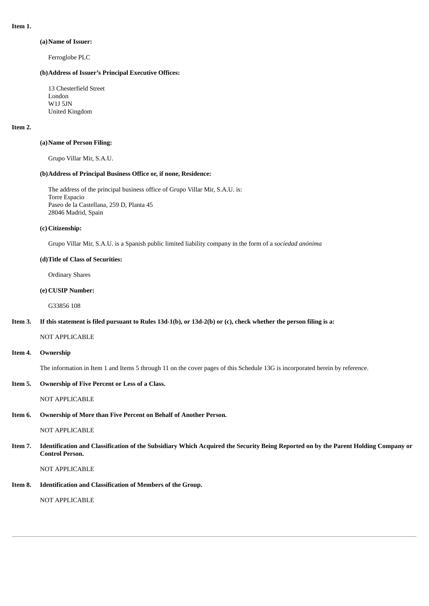#### **Item 1.**

#### **(a)Name of Issuer:**

Ferroglobe PLC

#### **(b)Address of Issuer's Principal Executive Offices:**

13 Chesterfield Street London W1J 5JN United Kingdom

#### **Item 2.**

#### **(a)Name of Person Filing:**

Grupo Villar Mir, S.A.U.

#### **(b)Address of Principal Business Office or, if none, Residence:**

The address of the principal business office of Grupo Villar Mir, S.A.U. is: Torre Espacio Paseo de la Castellana, 259 D, Planta 45 28046 Madrid, Spain

#### **(c) Citizenship:**

Grupo Villar Mir, S.A.U. is a Spanish public limited liability company in the form of a *sociedad anónima*

#### **(d)Title of Class of Securities:**

Ordinary Shares

#### **(e) CUSIP Number:**

G33856 108

#### Item 3. If this statement is filed pursuant to Rules 13d-1(b), or 13d-2(b) or (c), check whether the person filing is a:

NOT APPLICABLE

#### **Item 4. Ownership**

The information in Item 1 and Items 5 through 11 on the cover pages of this Schedule 13G is incorporated herein by reference.

#### **Item 5. Ownership of Five Percent or Less of a Class.**

NOT APPLICABLE

### **Item 6. Ownership of More than Five Percent on Behalf of Another Person.**

NOT APPLICABLE

Item 7. Identification and Classification of the Subsidiary Which Acquired the Security Being Reported on by the Parent Holding Company or **Control Person.**

NOT APPLICABLE

**Item 8. Identification and Classification of Members of the Group.**

NOT APPLICABLE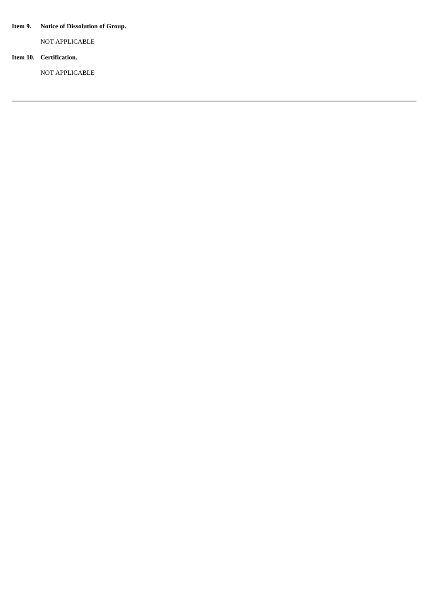## **Item 9. Notice of Dissolution of Group.**

NOT APPLICABLE

## **Item 10. Certification.**

NOT APPLICABLE